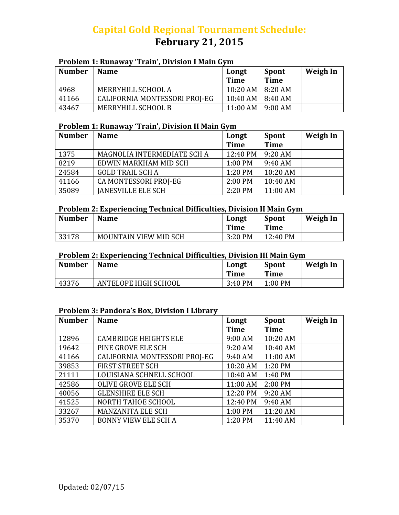# **Capital Gold Regional Tournament Schedule: February 21, 2015**

#### **Problem 1: Runaway 'Train', Division I Main Gym**

| <b>Number</b> | <b>Name</b>                   | Longt<br><b>Time</b>      | Spont<br>Time | Weigh In |
|---------------|-------------------------------|---------------------------|---------------|----------|
| 4968          | MERRYHILL SCHOOL A            | 10:20 AM   8:20 AM        |               |          |
| 41166         | CALIFORNIA MONTESSORI PROJ-EG | $10:40$ AM $\mid 8:40$ AM |               |          |
| 43467         | MERRYHILL SCHOOL B            | $11:00$ AM   9:00 AM      |               |          |

#### **Problem 1: Runaway 'Train', Division II Main Gym**

| <b>Number</b> | <b>Name</b>                 | Longt       | <b>Spont</b> | <b>Weigh In</b> |
|---------------|-----------------------------|-------------|--------------|-----------------|
|               |                             | <b>Time</b> | <b>Time</b>  |                 |
| 1375          | MAGNOLIA INTERMEDIATE SCH A | 12:40 PM    | $9:20$ AM    |                 |
| 8219          | EDWIN MARKHAM MID SCH       | 1:00 PM     | 9:40 AM      |                 |
| 24584         | <b>GOLD TRAIL SCH A</b>     | 1:20 PM     | 10:20 AM     |                 |
| 41166         | CA MONTESSORI PROJ-EG       | 2:00 PM     | 10:40 AM     |                 |
| 35089         | <b>JANESVILLE ELE SCH</b>   | 2:20 PM     | 11:00 AM     |                 |

#### **Problem 2: Experiencing Technical Difficulties, Division II Main Gym**

| <b>Number</b> | <b>Name</b>           | Longt<br><b>Time</b> | <b>Spont</b><br>Time | Weigh In |
|---------------|-----------------------|----------------------|----------------------|----------|
| 33178         | MOUNTAIN VIEW MID SCH | 3:20 PM              | 12:40 PM             |          |

#### **Problem 2: Experiencing Technical Difficulties, Division III Main Gym**

| <b>Number</b> | <b>Name</b>          | Longt<br><b>Time</b> | <b>Spont</b><br>Time | Weigh In |
|---------------|----------------------|----------------------|----------------------|----------|
| 43376         | ANTELOPE HIGH SCHOOL | 3:40 PM              | $1:00$ PM            |          |

#### **Problem 3: Pandora's Box, Division I Library**

| <b>Number</b> | <b>Name</b>                   | Longt       | Spont       | <b>Weigh In</b> |
|---------------|-------------------------------|-------------|-------------|-----------------|
|               |                               | <b>Time</b> | <b>Time</b> |                 |
| 12896         | <b>CAMBRIDGE HEIGHTS ELE</b>  | 9:00 AM     | 10:20 AM    |                 |
| 19642         | PINE GROVE ELE SCH            | 9:20 AM     | 10:40 AM    |                 |
| 41166         | CALIFORNIA MONTESSORI PROJ-EG | 9:40 AM     | 11:00 AM    |                 |
| 39853         | <b>FIRST STREET SCH</b>       | 10:20 AM    | 1:20 PM     |                 |
| 21111         | LOUISIANA SCHNELL SCHOOL      | 10:40 AM    | 1:40 PM     |                 |
| 42586         | <b>OLIVE GROVE ELE SCH</b>    | 11:00 AM    | 2:00 PM     |                 |
| 40056         | <b>GLENSHIRE ELE SCH</b>      | 12:20 PM    | 9:20 AM     |                 |
| 41525         | NORTH TAHOE SCHOOL            | 12:40 PM    | 9:40 AM     |                 |
| 33267         | <b>MANZANITA ELE SCH</b>      | 1:00 PM     | 11:20 AM    |                 |
| 35370         | <b>BONNY VIEW ELE SCH A</b>   | 1:20 PM     | 11:40 AM    |                 |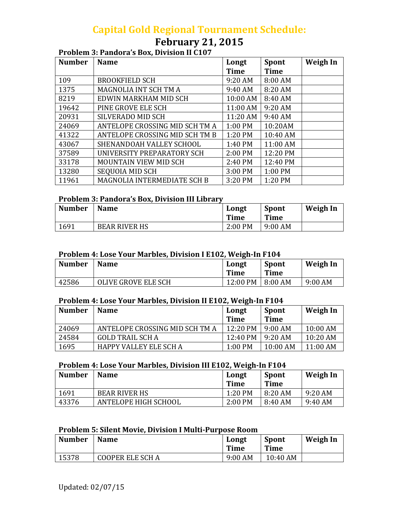## **Capital Gold Regional Tournament Schedule:**

# **February 21, 2015**

#### **Problem 3: Pandora's Box, Division II C107**

| <b>Number</b> | <b>Name</b>                    | Longt       | <b>Spont</b> | Weigh In |
|---------------|--------------------------------|-------------|--------------|----------|
|               |                                | <b>Time</b> | <b>Time</b>  |          |
| 109           | <b>BROOKFIELD SCH</b>          | 9:20 AM     | 8:00 AM      |          |
| 1375          | MAGNOLIA INT SCH TM A          | 9:40 AM     | 8:20 AM      |          |
| 8219          | EDWIN MARKHAM MID SCH          | 10:00 AM    | 8:40 AM      |          |
| 19642         | PINE GROVE ELE SCH             | 11:00 AM    | 9:20 AM      |          |
| 20931         | <b>SILVERADO MID SCH</b>       | 11:20 AM    | 9:40 AM      |          |
| 24069         | ANTELOPE CROSSING MID SCH TM A | 1:00 PM     | 10:20AM      |          |
| 41322         | ANTELOPE CROSSING MID SCH TM B | 1:20 PM     | 10:40 AM     |          |
| 43067         | SHENANDOAH VALLEY SCHOOL       | 1:40 PM     | 11:00 AM     |          |
| 37589         | UNIVERSITY PREPARATORY SCH     | 2:00 PM     | 12:20 PM     |          |
| 33178         | MOUNTAIN VIEW MID SCH          | 2:40 PM     | 12:40 PM     |          |
| 13280         | <b>SEQUOIA MID SCH</b>         | 3:00 PM     | 1:00 PM      |          |
| 11961         | MAGNOLIA INTERMEDIATE SCH B    | 3:20 PM     | 1:20 PM      |          |

### **Problem 3: Pandora's Box, Division III Library**

| <b>Number</b> | <b>Name</b>          | Longt<br>Time | Spont<br>Time | Weigh In |
|---------------|----------------------|---------------|---------------|----------|
| 1691          | <b>BEAR RIVER HS</b> | $2:00$ PM     | $9:00$ AM     |          |

#### **Problem 4: Lose Your Marbles, Division I E102, Weigh‐In F104**

| <b>Number</b> | <b>Name</b>         | Longt<br><b>Time</b> | <b>Spont</b><br>Time | Weigh In |
|---------------|---------------------|----------------------|----------------------|----------|
| 42586         | OLIVE GROVE ELE SCH | 12:00 PM             | 8:00 AM              | 9:00 AM  |

#### **Problem 4: Lose Your Marbles, Division II E102, Weigh‐In F104**

| <b>Number</b> | <b>Name</b>                    | Longt<br><b>Time</b> | Spont<br><b>Time</b> | Weigh In   |
|---------------|--------------------------------|----------------------|----------------------|------------|
| 24069         | ANTELOPE CROSSING MID SCH TM A | $12:20 \text{ PM}$   | 9:00 AM              | $10:00$ AM |
| 24584         | <b>GOLD TRAIL SCH A</b>        | $12:40 \text{ PM}$   | $9:20$ AM            | $10:20$ AM |
| 1695          | HAPPY VALLEY ELE SCH A         | $1:00 \text{ PM}$    | $10:00$ AM           | $11:00$ AM |

#### **Problem 4: Lose Your Marbles, Division III E102, Weigh‐In F104**

| <b>Number</b> | <b>Name</b>          | Longt<br><b>Time</b> | <b>Spont</b><br>Time | Weigh In |
|---------------|----------------------|----------------------|----------------------|----------|
| 1691          | <b>BEAR RIVER HS</b> | 1:20 PM              | 8:20 AM              | 9:20 AM  |
| 43376         | ANTELOPE HIGH SCHOOL | $2:00$ PM            | 8:40 AM              | 9:40 AM  |

#### **Problem 5: Silent Movie, Division I Multi‐Purpose Room**

| <b>Number</b> | <b>Name</b>             | Longt<br><b>Time</b> | <b>Spont</b><br>Time | Weigh In |
|---------------|-------------------------|----------------------|----------------------|----------|
| 15378         | <b>COOPER ELE SCH A</b> | 9:00 AM              | 10:40 AM             |          |